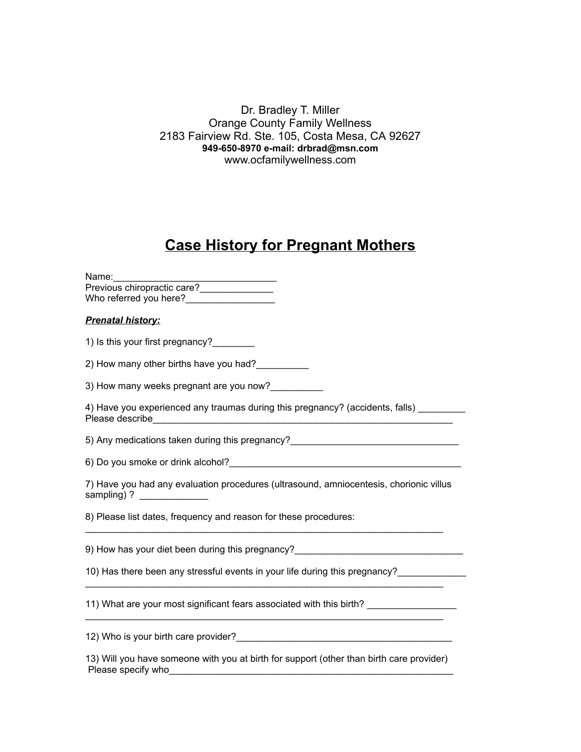Dr. Bradley T. Miller Orange County Family Wellness 2183 Fairview Rd. Ste. 105, Costa Mesa, CA 92627 **949-650-8970 e-mail: drbrad@msn.com** www.ocfamilywellness.com

## **Case History for Pregnant Mothers**

| Name:                       |  |
|-----------------------------|--|
| Previous chiropractic care? |  |
| Who referred you here?      |  |
|                             |  |

## *Prenatal history:*

1) Is this your first pregnancy?\_\_\_\_\_\_\_\_

2) How many other births have you had?\_\_\_\_\_\_\_\_\_\_\_

3) How many weeks pregnant are you now?

4) Have you experienced any traumas during this pregnancy? (accidents, falls) Please describe

5) Any medications taken during this pregnancy?

6) Do you smoke or drink alcohol?\_\_\_\_\_\_\_\_\_\_\_\_\_\_\_\_\_\_\_\_\_\_\_\_\_\_\_\_\_\_\_\_\_\_\_\_\_\_\_\_\_\_\_\_

7) Have you had any evaluation procedures (ultrasound, amniocentesis, chorionic villus sampling) ?

8) Please list dates, frequency and reason for these procedures:

9) How has your diet been during this pregnancy?

10) Has there been any stressful events in your life during this pregnancy?

11) What are your most significant fears associated with this birth? \_\_\_\_\_\_\_\_\_\_\_\_\_\_\_\_\_

12) Who is your birth care provider? The state of the state of the state of the state of the state of the state of the state of the state of the state of the state of the state of the state of the state of the state of the

13) Will you have someone with you at birth for support (other than birth care provider) Please specify who

 $\mathcal{L}_\mathcal{L} = \mathcal{L}_\mathcal{L} = \mathcal{L}_\mathcal{L} = \mathcal{L}_\mathcal{L} = \mathcal{L}_\mathcal{L} = \mathcal{L}_\mathcal{L} = \mathcal{L}_\mathcal{L} = \mathcal{L}_\mathcal{L} = \mathcal{L}_\mathcal{L} = \mathcal{L}_\mathcal{L} = \mathcal{L}_\mathcal{L} = \mathcal{L}_\mathcal{L} = \mathcal{L}_\mathcal{L} = \mathcal{L}_\mathcal{L} = \mathcal{L}_\mathcal{L} = \mathcal{L}_\mathcal{L} = \mathcal{L}_\mathcal{L}$ 

 $\mathcal{L}_\mathcal{L} = \mathcal{L}_\mathcal{L} = \mathcal{L}_\mathcal{L} = \mathcal{L}_\mathcal{L} = \mathcal{L}_\mathcal{L} = \mathcal{L}_\mathcal{L} = \mathcal{L}_\mathcal{L} = \mathcal{L}_\mathcal{L} = \mathcal{L}_\mathcal{L} = \mathcal{L}_\mathcal{L} = \mathcal{L}_\mathcal{L} = \mathcal{L}_\mathcal{L} = \mathcal{L}_\mathcal{L} = \mathcal{L}_\mathcal{L} = \mathcal{L}_\mathcal{L} = \mathcal{L}_\mathcal{L} = \mathcal{L}_\mathcal{L}$